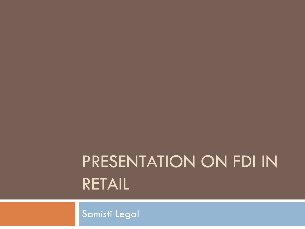# PRESENTATION ON FDI IN RETAIL

Samisti Legal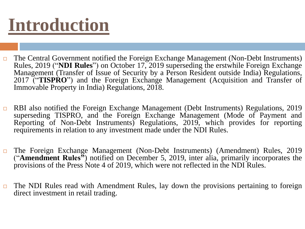# **Introduction**

- $\Box$  The Central Government notified the Foreign Exchange Management (Non-Debt Instruments) Rules, 2019 ("**NDI Rules**") on October 17, 2019 superseding the erstwhile Foreign Exchange Management (Transfer of Issue of Security by a Person Resident outside India) Regulations, 2017 ("**TISPRO**") and the Foreign Exchange Management (Acquisition and Transfer of Immovable Property in India) Regulations, 2018.
- □ RBI also notified the Foreign Exchange Management (Debt Instruments) Regulations, 2019 superseding TISPRO, and the Foreign Exchange Management (Mode of Payment and Reporting of Non-Debt Instruments) Regulations, 2019, which provides for reporting requirements in relation to any investment made under the NDI Rules.
- The Foreign Exchange Management (Non-Debt Instruments) (Amendment) Rules, 2019 ("**Amendment Rules"**) notified on December 5, 2019, inter alia, primarily incorporates the provisions of the Press Note 4 of 2019, which were not reflected in the NDI Rules.
- $\Box$  The NDI Rules read with Amendment Rules, lay down the provisions pertaining to foreign direct investment in retail trading.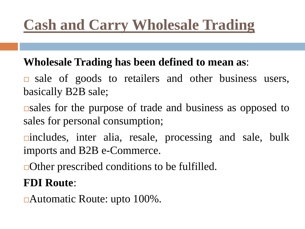## **Cash and Carry Wholesale Trading**

#### **Wholesale Trading has been defined to mean as**:

- $\Box$  sale of goods to retailers and other business users, basically B2B sale;
- $\Box$ sales for the purpose of trade and business as opposed to sales for personal consumption;
- includes, inter alia, resale, processing and sale, bulk imports and B2B e-Commerce.
- **□Other prescribed conditions to be fulfilled.**

#### **FDI Route**:

Automatic Route: upto 100%.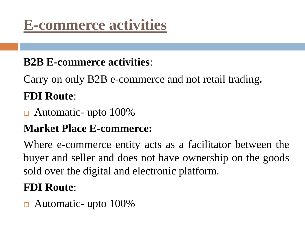## **E-commerce activities**

### **B2B E-commerce activities**:

Carry on only B2B e-commerce and not retail trading. **FDI Route**:

Automatic- upto 100%

### **Market Place E-commerce:**

Where e-commerce entity acts as a facilitator between the buyer and seller and does not have ownership on the goods sold over the digital and electronic platform.

### **FDI Route**:

Automatic- upto 100%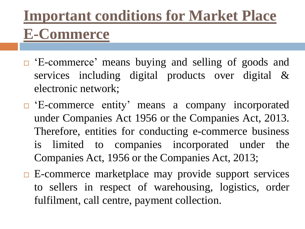## **Important conditions for Market Place E-Commerce**

- □ 'E-commerce' means buying and selling of goods and services including digital products over digital & electronic network;
- 'E-commerce entity' means a company incorporated under Companies Act 1956 or the Companies Act, 2013. Therefore, entities for conducting e-commerce business is limited to companies incorporated under the Companies Act, 1956 or the Companies Act, 2013;
- $\Box$  E-commerce marketplace may provide support services to sellers in respect of warehousing, logistics, order fulfilment, call centre, payment collection.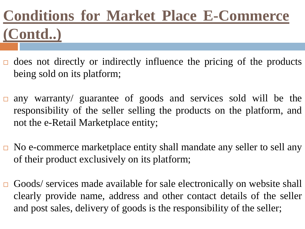## **Conditions for Market Place E-Commerce (Contd..)**

- $\Box$  does not directly or indirectly influence the pricing of the products being sold on its platform;
- any warranty/ guarantee of goods and services sold will be the responsibility of the seller selling the products on the platform, and not the e-Retail Marketplace entity;
- No e-commerce marketplace entity shall mandate any seller to sell any of their product exclusively on its platform;
- Goods/ services made available for sale electronically on website shall clearly provide name, address and other contact details of the seller and post sales, delivery of goods is the responsibility of the seller;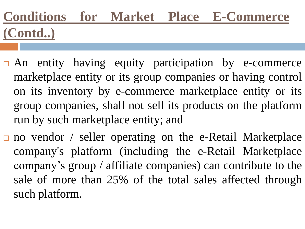## **Conditions for Market Place E-Commerce (Contd..)**

- $\Box$  An entity having equity participation by e-commerce marketplace entity or its group companies or having control on its inventory by e-commerce marketplace entity or its group companies, shall not sell its products on the platform run by such marketplace entity; and
- $\Box$  no vendor / seller operating on the e-Retail Marketplace company's platform (including the e-Retail Marketplace company's group / affiliate companies) can contribute to the sale of more than 25% of the total sales affected through such platform.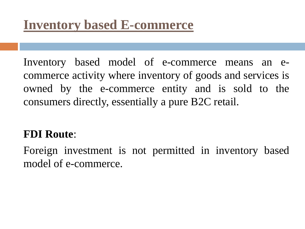Inventory based model of e-commerce means an ecommerce activity where inventory of goods and services is owned by the e-commerce entity and is sold to the consumers directly, essentially a pure B2C retail.

#### **FDI Route**:

Foreign investment is not permitted in inventory based model of e-commerce.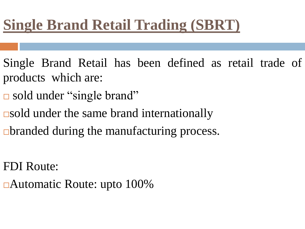## **Single Brand Retail Trading (SBRT)**

- Single Brand Retail has been defined as retail trade of products which are:
- sold under "single brand"
- $\Box$ sold under the same brand internationally
- $\Box$  branded during the manufacturing process.
- FDI Route:
- Automatic Route: upto 100%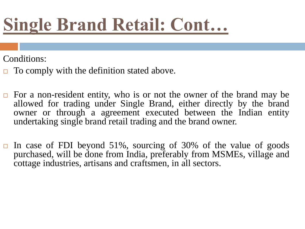# **Single Brand Retail: Cont…**

Conditions:

- $\Box$  To comply with the definition stated above.
- $\Box$  For a non-resident entity, who is or not the owner of the brand may be allowed for trading under Single Brand, either directly by the brand owner or through a agreement executed between the Indian entity undertaking single brand retail trading and the brand owner.
- In case of FDI beyond 51%, sourcing of 30% of the value of goods purchased, will be done from India, preferably from MSMEs, village and cottage industries, artisans and craftsmen, in all sectors.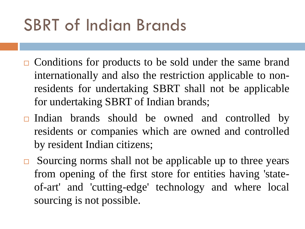# SBRT of Indian Brands

- **□** Conditions for products to be sold under the same brand internationally and also the restriction applicable to nonresidents for undertaking SBRT shall not be applicable for undertaking SBRT of Indian brands;
- $\Box$  Indian brands should be owned and controlled by residents or companies which are owned and controlled by resident Indian citizens;
- $\Box$  Sourcing norms shall not be applicable up to three years from opening of the first store for entities having 'stateof-art' and 'cutting-edge' technology and where local sourcing is not possible.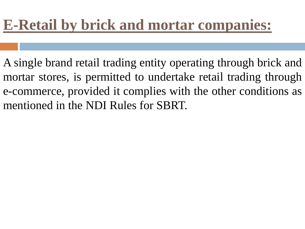## **E-Retail by brick and mortar companies:**

A single brand retail trading entity operating through brick and mortar stores, is permitted to undertake retail trading through e-commerce, provided it complies with the other conditions as mentioned in the NDI Rules for SBRT.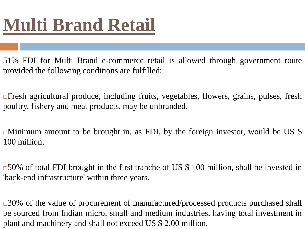# **Multi Brand Retail**

51% FDI for Multi Brand e-commerce retail is allowed through government route provided the following conditions are fulfilled:

**Example 15** The spricultural produce, including fruits, vegetables, flowers, grains, pulses, fresh poultry, fishery and meat products, may be unbranded.

 $\Box$ Minimum amount to be brought in, as FDI, by the foreign investor, would be US \$ 100 million.

 $\overline{\phantom{0}}$  50% of total FDI brought in the first tranche of US \$ 100 million, shall be invested in 'back-end infrastructure' within three years.

 $\Box$ 30% of the value of procurement of manufactured/processed products purchased shall be sourced from Indian micro, small and medium industries, having total investment in plant and machinery and shall not exceed US \$ 2.00 million.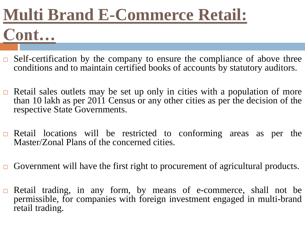## **Multi Brand E-Commerce Retail: Cont…**

- $\Box$  Self-certification by the company to ensure the compliance of above three conditions and to maintain certified books of accounts by statutory auditors.
- $\Box$  Retail sales outlets may be set up only in cities with a population of more than 10 lakh as per 2011 Census or any other cities as per the decision of the respective State Governments.
- $\Box$  Retail locations will be restricted to conforming areas as per the Master/Zonal Plans of the concerned cities.
- Government will have the first right to procurement of agricultural products.
- Retail trading, in any form, by means of e-commerce, shall not be permissible, for companies with foreign investment engaged in multi-brand retail trading.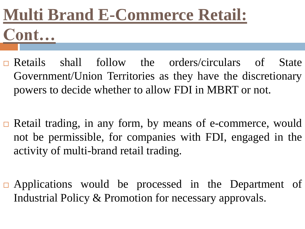# **Multi Brand E-Commerce Retail: Cont…**

- **Executer Shall follow the orders/circulars of State** Government/Union Territories as they have the discretionary powers to decide whether to allow FDI in MBRT or not.
- **□** Retail trading, in any form, by means of e-commerce, would not be permissible, for companies with FDI, engaged in the activity of multi-brand retail trading.
- $\Box$  Applications would be processed in the Department of Industrial Policy & Promotion for necessary approvals.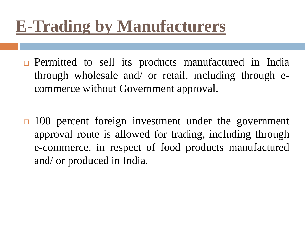## **E-Trading by Manufacturers**

- $\Box$  Permitted to sell its products manufactured in India through wholesale and/ or retail, including through ecommerce without Government approval.
- $\Box$  100 percent foreign investment under the government approval route is allowed for trading, including through e-commerce, in respect of food products manufactured and/ or produced in India.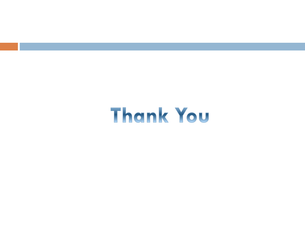# Thank You